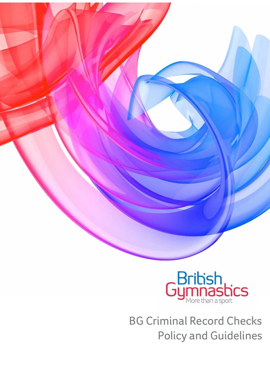

BG Criminal Record Checks Policy and Guidelines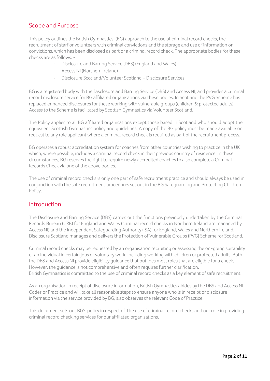## Scope and Purpose

This policy outlines the British Gymnastics' (BG) approach to the use of criminal record checks, the recruitment of staff or volunteers with criminal convictions and the storage and use of information on convictions, which has been disclosed as part of a criminal record check. The appropriate bodies for these checks are as follows: -

- Disclosure and Barring Service (DBS) (England and Wales)
- Access NI (Northern Ireland)
- Disclosure Scotland/Volunteer Scotland Disclosure Services

BG is a registered body with the Disclosure and Barring Service (DBS) and Access NI, and provides a criminal record disclosure service for BG affiliated organisations via these bodies. In Scotland the PVG Scheme has replaced enhanced disclosures for those working with vulnerable groups (children & protected adults). Access to the Scheme is facilitated by Scottish Gymnastics via Volunteer Scotland.

The Policy applies to all BG affiliated organisations except those based in Scotland who should adopt the equivalent Scottish Gymnastics policy and guidelines. A copy of the BG policy must be made available on request to any role applicant where a criminal record check isrequired as part of the recruitment process.

BG operates a robust accreditation system for coaches from other countries wishing to practice in the UK which, where possible, includes a criminal record check in their previous country of residence. In these circumstances, BG reserves the right to require newly accredited coaches to also complete a Criminal Records Check via one of the above bodies.

The use of criminal record checks is only one part of safe recruitment practice and should always be used in conjunction with the safe recruitment procedures set out in the BG Safeguarding and Protecting Children Policy.

### Introduction

The Disclosure and Barring Service (DBS) carries out the functions previously undertaken by the Criminal Records Bureau (CRB) for England and Wales (criminal record checks in Northern Ireland are managed by Access NI) and the Independent Safeguarding Authority (ISA) for England, Wales and Northern Ireland. Disclosure Scotland manages and delivers the Protection of Vulnerable Groups (PVG) Scheme for Scotland.

Criminal record checks may be requested by an organisation recruiting or assessing the on-going suitability of an individual in certain jobs or voluntary work, including working with children or protected adults. Both the DBS and Access NI provide eligibility guidance that outlines most roles that are eligible for a check. However, the quidance is not comprehensive and often requires further clarification. British Gymnastics is committed to the use of criminal record checks as a key element of safe recruitment.

As an organisation in receipt of disclosure information, British Gymnastics abides by the DBS and Access NI Codes of Practice and will take all reasonable steps to ensure anyone who is in receipt of disclosure information via the service provided by BG, also observes the relevant Code of Practice.

This document sets out BG's policy in respect of the use of criminal record checks and our role in providing criminal record checking services for our affiliated organisations.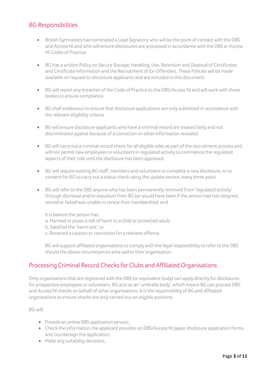### BG Responsibilities

- British Gymnastics has nominated a Lead Signatory who will be the point of contact with the DBS and Access NI and who will ensure disclosures are processed in accordance with the DBS or Access NI Codes of Practice.
- BG has a written Policy on Secure Storage, Handling, Use, Retention and Disposal of Certificates and Certificate Information and the Recruitment of Ex-Offenders. These Policies will be made available on request to disclosure applicants and are included in this document.
- BG will report any breaches of the Code of Practice to the DBS/Access NI and will work with these bodies to ensure compliance.
- BG shall endeavour to ensure that disclosure applications are only submitted in accordance with the relevant eligibility criteria.
- BG will ensure disclosure applicants who have a criminal record are treated fairly and not discriminated against because of a conviction or other information revealed.
- BG will carry out a criminal record check for all eligible roles as part of the recruitment process and will not permit new employees or volunteersin regulated activity to commence the regulated aspects of their role until the disclosure has been approved.
- BG will require existing BG staff, members and volunteers to complete a new disclosure, or to consent for BG to carry out a status check using the update service, every three years.
- BG will refer to the DBS anyone who has been permanently removed from 'regulated activity' through dismissal and/or expulsion from BG (or would have been if the person had not resigned, retired or failed/was unable to renew their membership); and

It is believe the person has:

- a. Harmed or poses a risk of harm to a child or protected adult;
- b. Satisfied the 'harm test'; or
- c. Received a caution or conviction for a relevant offence.

BG will support affiliated organisations to comply with the legal responsibility to refer to the DBS should the above circumstances arise within their organisation.

### Processing Criminal Record Checks for Clubs and Affiliated Organisations

Only organisations that are registered with the DBS (or equivalent body) can apply directly for disclosures for prospective employees or volunteers. BG acts as an 'umbrella body', which means BG can process DBS and Access NI checks on behalf of other organisations. It is the responsibility of BG and affiliated organisations to ensure checks are only carried out on eligible positions.

BG will:

- Provide an online DBS application service;
- Check the information the applicant provides on DBS/Access NI paper disclosure application forms, and countersign the application;
- Make any suitability decisions.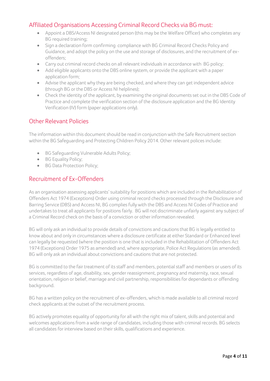## Affiliated Organisations Accessing Criminal Record Checks via BG must:

- Appoint a DBS/Access NI designated person (this may be the Welfare Officer) who completes any BG required training;
- Sign a declaration form confirming compliance with BG Criminal Record Checks Policy and Guidance, and adopt the policy on the use and storage of disclosures, and the recruitment of exoffenders;
- Carry out criminal record checks on all relevant individuals in accordance with BG policy;
- Add eligible applicants onto the DBS online system, or provide the applicant with a paper application form;
- Advise the applicant why they are being checked, and where they can get independent advice (through BG or the DBS or Access NI helplines);
- Check the identity of the applicant, by examining the original documents set out in the DBS Code of Practice and complete the verification section of the disclosure application and the BG Identity Verification (IV) form (paper applications only).

# Other Relevant Policies

The information within this document should be read in conjunction with the Safe Recruitment section within the BG Safeguarding and Protecting Children Policy 2014. Other relevant polices include:

- BG Safeguarding Vulnerable Adults Policy;
- BG Equality Policy;
- BG Data Protection Policy;

## Recruitment of Ex-Offenders

As an organisation assessing applicants' suitability for positions which are included in the Rehabilitation of Offenders Act 1974 (Exceptions) Order using criminal record checks processed through the Disclosure and Barring Service (DBS) and Access NI, BG compliesfully with the DBS and Access NI Codes of Practice and undertakesto treat all applicantsfor positionsfairly. BG will not discriminate unfairly against any subject of a Criminal Record check on the basis of a conviction or other information revealed.

BG will only ask an individual to provide details of convictions and cautions that BG is legally entitled to know about and only in circumstances where a disclosure certificate at either Standard or Enhanced level can legally be requested (where the position is one that isincluded in the Rehabilitation of Offenders Act 1974 (Exceptions) Order 1975 as amended) and, where appropriate, Police Act Regulations(as amended). BG will only ask an individual about convictions and cautions that are not protected.

BG is committed to the fair treatment of its staff and members, potential staff and members or users of its services, regardless of age, disability, sex, gender reassignment, pregnancy and maternity, race, sexual orientation, religion or belief, marriage and civil partnership, responsibilities for dependants or offending background.

BG has a written policy on the recruitment of ex-offenders, which is made available to all criminal record check applicants at the outset of the recruitment process.

BG actively promotes equality of opportunity for all with the right mix of talent, skills and potential and welcomes applications from a wide range of candidates, including those with criminal records. BG selects all candidates for interview based on their skills, qualifications and experience.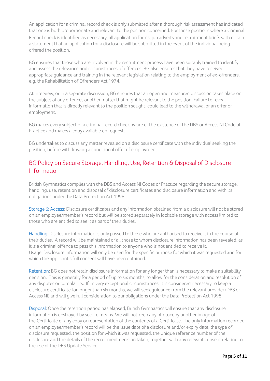An application for a criminal record check is only submitted after a thorough risk assessment hasindicated that one is both proportionate and relevant to the position concerned. For those positions where a Criminal Record check isidentified as necessary, all application forms, job adverts and recruitment briefs will contain a statement that an application for a disclosure will be submitted in the event of the individual being offered the position.

BG ensures that those who are involved in the recruitment process have been suitably trained to identify and assess the relevance and circumstances of offences. BG also ensures that they have received appropriate guidance and training in the relevant legislation relating to the employment of ex-offenders, e.g. the Rehabilitation of Offenders Act 1974.

At interview, or in a separate discussion, BG ensures that an open and measured discussion takes place on the subject of any offences or other matter that might be relevant to the position. Failure to reveal information that is directly relevant to the position sought, could lead to the withdrawal of an offer of employment.

BG makes every subject of a criminal record check aware of the existence of the DBS or Access NI Code of Practice and makes a copy available on request.

BG undertakes to discuss any matter revealed on a disclosure certificate with the individual seeking the position, before withdrawing a conditional offer of employment.

# BG Policy on Secure Storage, Handling, Use, Retention & Disposal of Disclosure Information

British Gymnastics complies with the DBS and Access NI Codes of Practice regarding the secure storage, handling, use, retention and disposal of disclosure certificates and disclosure information and with its obligations under the Data Protection Act 1998.

Storage & Access: Disclosure certificates and any information obtained from a disclosure will not be stored on an employee/member's record but will be stored separately in lockable storage with access limited to those who are entitled to see it as part of their duties.

Handling: Disclosure information is only passed to those who are authorised to receive it in the course of their duties. A record will be maintained of all those to whom disclosure information has been revealed, as it is a criminal offence to pass this information to anyone who is not entitled to receive it. Usage: Disclosure information will only be used for the specific purpose for which it was requested and for which the applicant's full consent will have been obtained.

Retention: BG does not retain disclosure information for any longer than is necessary to make a suitability decision. This is generally for a period of up to six months, to allow for the consideration and resolution of any disputes or complaints. If, in very exceptional circumstances, it is considered necessary to keep a disclosure certificate for longer than six months, we will seek guidance from the relevant provider (DBS or Access NI) and will give full consideration to our obligations under the Data Protection Act 1998.

Disposal: Once the retention period has elapsed, British Gymnastics will ensure that any disclosure information is destroyed by secure means. We will not keep any photocopy or other image of the Certificate or any copy or representation of the contents of a Certificate. The only information recorded on an employee/member's record will be the issue date of a disclosure and/or expiry date, the type of disclosure requested, the position for which it was requested, the unique reference number of the disclosure and the details of the recruitment decision taken, together with any relevant consent relating to the use of the DBS Update Service.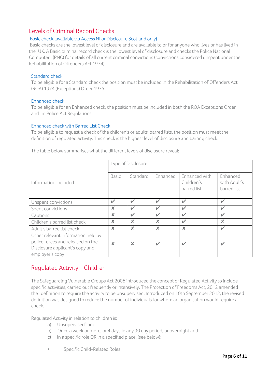### Levels of Criminal Record Checks

#### Basic check (available via Access NI or Disclosure Scotland only)

Basic checks are the lowest level of disclosure and are available to or for anyone who lives or has lived in the UK. A Basic criminal record check is the lowest level of disclosure and checks the Police National Computer (PNC) for details of all current criminal convictions(convictions considered unspent under the Rehabilitation of Offenders Act 1974).

#### Standard check

To be eligible for a Standard check the position must be included in the Rehabilitation of Offenders Act (ROA) 1974 (Exceptions) Order 1975.

#### Enhanced check

To be eligible for an Enhanced check, the position must be included in both the ROA Exceptions Order and in Police Act Regulations.

#### Enhanced check with Barred List Check

To be eligible to request a check of the children's or adults' barred lists, the position must meet the definition of regulated activity. This check is the highest level of disclosure and barring check.

|                                    | Type of Disclosure        |                           |                           |                           |                           |
|------------------------------------|---------------------------|---------------------------|---------------------------|---------------------------|---------------------------|
|                                    |                           |                           |                           |                           |                           |
|                                    | <b>Basic</b>              | Standard                  | Enhanced                  | Enhanced with             | Enhanced                  |
| Information Included               |                           |                           |                           | Children's                | with Adult's              |
|                                    |                           |                           |                           | barred list               | barred list               |
|                                    |                           |                           |                           |                           |                           |
| Unspent convictions                | ✓                         | $\overline{\phantom{a}}$  | $\overline{\mathscr{L}}$  | $\overline{\mathscr{L}}$  | ✓                         |
| Spent convictions                  | ×                         | $\checkmark$              | $\checkmark$              | $\checkmark$              | $\checkmark$              |
| Cautions                           | X                         | $\checkmark$              | $\overline{\mathscr{L}}$  | ✓                         | ✓                         |
| Children's barred list check       | $\boldsymbol{\mathsf{x}}$ | $\boldsymbol{\mathsf{x}}$ | $\boldsymbol{\mathsf{x}}$ | ✓                         | $\boldsymbol{\mathsf{x}}$ |
| Adult's barred list check          | ×                         | $\boldsymbol{\mathsf{x}}$ | $\mathbf x$               | $\boldsymbol{\mathsf{x}}$ | ✓                         |
| Other relevant information held by |                           |                           |                           |                           |                           |
| police forces and released on the  | $\boldsymbol{\mathsf{x}}$ | X                         |                           |                           | $\overline{\mathbf{v}}$   |
| Disclosure applicant's copy and    |                           |                           |                           |                           |                           |
| employer's copy                    |                           |                           |                           |                           |                           |

The table below summarises what the different levels of disclosure reveal:

# Regulated Activity – Children

The Safeguarding Vulnerable Groups Act 2006 introduced the concept of Regulated Activity to include specific activities, carried out frequently or intensively. The Protection of Freedoms Act, 2012 amended the definition to require the activity to be unsupervised. Introduced on 10th September 2012, the revised definition was designed to reduce the number of individuals for whom an organisation would require a check.

Regulated Activity in relation to children is:

- a) Unsupervised\* and
- b) Once a week or more, or 4 daysin any 30 day period, or overnight and
- c) In a specific role OR in a specified place, (see below):
- Specific Child-Related Roles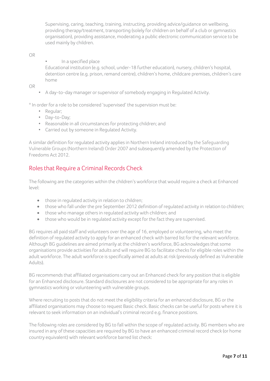Supervising, caring, teaching, training, instructing, providing advice/guidance on wellbeing, providing therapy/treatment, transporting (solely for children on behalf of a club or gymnastics organisation), providing assistance, moderating a public electronic communication service to be used mainly by children.

#### OR

• In a specified place

Educational institution (e.g. school, under-18 further education), nursery, children's hospital, detention centre (e.g. prison, remand centre), children's home, childcare premises, children's care home

OR

• A day-to-day manager or supervisor of somebody engaging in Regulated Activity.

\* In order for a role to be considered 'supervised' the supervision must be:

- Regular;
- Day-to-Day;
- Reasonable in all circumstances for protecting children; and
- Carried out by someone in Regulated Activity.

A similar definition for regulated activity appliesin Northern Ireland introduced by the Safeguarding Vulnerable Groups(Northern Ireland) Order 2007 and subsequently amended by the Protection of Freedoms Act 2012.

## Roles that Require a Criminal Records Check

The following are the categories within the children's workforce that would require a check at Enhanced level:

- those in regulated activity in relation to children;
- those who fall under the pre September 2012 definition of regulated activity in relation to children;
- those who manage others in regulated activity with children; and
- those who would be in regulated activity except for the fact they are supervised.

BG requires all paid staff and volunteers over the age of 16, employed or volunteering, who meet the definition of regulated activity to apply for an enhanced check with barred list for the relevant workforce. Although BG guidelines are aimed primarily at the children's workforce, BG acknowledges that some organisations provide activitiesfor adults and will require BG to facilitate checksfor eligible roles within the adult workforce. The adult workforce is specifically aimed at adults at risk (previously defined as Vulnerable Adults).

BG recommends that affiliated organisations carry out an Enhanced check for any position that is eligible for an Enhanced disclosure. Standard disclosures are not considered to be appropriate for any roles in gymnastics working or volunteering with vulnerable groups.

Where recruiting to posts that do not meet the eligibility criteria for an enhanced disclosure, BG or the affiliated organisations may choose to request Basic check. Basic checks can be useful for posts where it is relevant to seek information on an individual's criminal record e.g. finance positions.

The following roles are considered by BG to fall within the scope of regulated activity. BG members who are insured in any of these capacities are required by BG to have an enhanced criminal record check (or home country equivalent) with relevant workforce barred list check: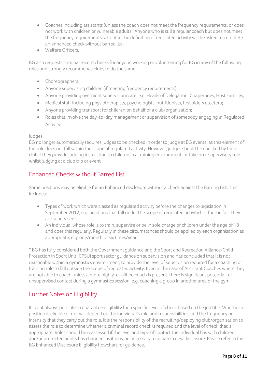- Coaches including assistants (unless the coach does not meet the frequency requirements, or does not work with children or vulnerable adults. Anyone who isstill a regular coach but does not meet the frequency requirements set out in the definition of regulated activity will be asked to complete an enhanced check without barred list)
- Welfare Officers.

BG also requests criminal record checks for anyone working or volunteering for BG in any of the following roles and strongly recommends clubs to do the same:

- Choreographers:
- Anyone supervising children (if meeting frequency requirements);
- Anyone providing overnight supervision/care, e.g. Heads of Delegation, Chaperones, Host Families;
- Medical staff including physiotherapists, psychologists, nutritionists, first aiders etcetera;
- Anyone providing transport for children on behalf of a club/organisation;
- Roles that involve the day-to-day management or supervision of somebody engaging in Regulated Activity.

#### Judges

BG no longer automatically requires judges to be checked in order to judge at BG events, as this element of the role does not fall within the scope of regulated activity. However, judges should be checked by their club if they provide judging instruction to children in a training environment, or take on a supervisory role whilst judging at a club trip or event

# Enhanced Checks without Barred List

Some positions may be eligible for an Enhanced disclosure without a check against the Barring List. This includes:

- Types of work which were classed as regulated activity before the changes to legislation in September 2012, e.g. positions that fall under the scope of regulated activity but for the fact they are supervised\*;
- An individual whose role is to train, supervise or be in sole charge of children under the age of 18 and doesthis regularly. Regularly in these circumstancesshould be applied by each organisation as appropriate, e.g. one/month or six times/year.

\* BG hasfully considered both the Government guidance and the Sport and Recreation Alliance/Child Protection in Sport Unit (CPSU) sport sector guidance on supervision and has concluded that it is not reasonable within a gymnastics environment, to provide the level of supervision required for a coaching or training role to fall outside the scope of regulated activity. Even in the case of Assistant Coaches where they are not able to coach unless a more highly-qualified coach is present, there issignificant potential for unsupervised contact during a gymnastics session, e.g. coaching a group in another area of the gym.

# Further Notes on Eligibility

It is not always possible to guarantee eligibility for a specific level of check based on the job title. Whether a position is eligible or not will depend on the individual'srole and responsibilities, and the frequency or intensity that they carry out the role. It is the responsibility of the recruiting/deploying club/organisation to assess the role to determine whether a criminal record check is required and the level of check that is appropriate. Roles should be reassessed if the level and type of contact the individual has with children and/or protected adults has changed, as it may be necessary to initiate a new disclosure. Please refer to the BG Enhanced Disclosure Eligibility flowchart for guidance.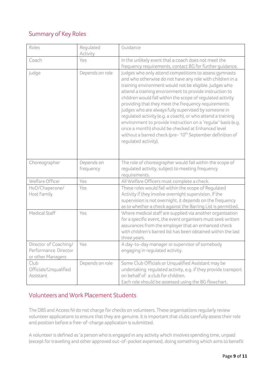# Summary of Key Roles

| Roles                                                              | Regulated<br>Activity   | Guidance                                                                                                                                                                                                                                                                                                                                                                                                                                                                                                                                                                                                                                                                                                    |
|--------------------------------------------------------------------|-------------------------|-------------------------------------------------------------------------------------------------------------------------------------------------------------------------------------------------------------------------------------------------------------------------------------------------------------------------------------------------------------------------------------------------------------------------------------------------------------------------------------------------------------------------------------------------------------------------------------------------------------------------------------------------------------------------------------------------------------|
| Coach                                                              | Yes                     | In the unlikely event that a coach does not meet the<br>frequency requirements, contact BG for further guidance.                                                                                                                                                                                                                                                                                                                                                                                                                                                                                                                                                                                            |
| Judge                                                              | Depends on role         | Judges who only attend competitions to assess gymnasts<br>and who otherwise do not have any role with children in a<br>training environment would not be eligible. Judges who<br>attend a training environment to provide instruction to<br>children would fall within the scope of regulated activity<br>providing that they meet the frequency requirements.<br>Judges who are always fully supervised by someone in<br>regulated activity (e.g. a coach), or who attend a training<br>environment to provide instruction on a 'regular' basis (e.g.<br>once a month) should be checked at Enhanced level<br>without a barred check (pre-10 <sup>th</sup> September definition of<br>requlated activity). |
| Choreographer                                                      | Depends on<br>frequency | The role of choreographer would fall within the scope of<br>regulated activity, subject to meeting frequency<br>requirements.                                                                                                                                                                                                                                                                                                                                                                                                                                                                                                                                                                               |
| Welfare Officer                                                    | Yes                     | All Welfare Officers must complete a check.                                                                                                                                                                                                                                                                                                                                                                                                                                                                                                                                                                                                                                                                 |
| HoD/Chaperone/<br>Host Family                                      | Yes                     | These roles would fall within the scope of Regulated<br>Activity if they involve overnight supervision. If the<br>supervision is not overnight, it depends on the frequency<br>as to whether a check against the Barring List is permitted.                                                                                                                                                                                                                                                                                                                                                                                                                                                                 |
| <b>Medical Staff</b>                                               | Yes                     | Where medical staff are supplied via another organisation<br>for a specific event, the event organisers must seek written<br>assurances from the employer that an enhanced check<br>with children's barred list has been obtained within the last<br>three years.                                                                                                                                                                                                                                                                                                                                                                                                                                           |
| Director of Coaching/<br>Performance Director<br>or other Managers | Yes                     | A day-to-day manager or supervisor of somebody<br>engaging in regulated activity.                                                                                                                                                                                                                                                                                                                                                                                                                                                                                                                                                                                                                           |
| Club<br>Officials/Unqualified<br>Assistant                         | Depends on role         | Some Club Officials or Unqualified Assistant may be<br>undertaking regulated activity, e.g. if they provide transport<br>on behalf of a club for children.<br>Each role should be assessed using the BG flowchart.                                                                                                                                                                                                                                                                                                                                                                                                                                                                                          |

# Volunteers and Work Placement Students

The DBS and Access NI do not charge for checks on volunteers. These organisations regularly review volunteer applications to ensure that they are genuine. It is important that clubs carefully assess their role and position before a free-of-charge application is submitted.

A volunteer is defined as 'a person who is engaged in any activity which involves spending time, unpaid (except for travelling and other approved out-of-pocket expenses), doing something which aimsto benefit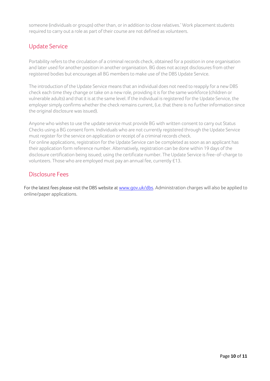someone (individuals or groups) other than, or in addition to close relatives.' Work placement students required to carry out a role as part of their course are not defined as volunteers.

# Update Service

Portability refers to the circulation of a criminal records check, obtained for a position in one organisation and later used for another position in another organisation. BG does not accept disclosures from other registered bodies but encourages all BG membersto make use of the DBS Update Service.

The introduction of the Update Service means that an individual does not need to reapply for a new DBS check each time they change or take on a new role, providing it isfor the same workforce (children or vulnerable adults) and that it is at the same level. If the individual isregistered for the Update Service, the employer simply confirms whether the check remains current, (i.e. that there is no further information since the original disclosure was issued).

Anyone who wishes to use the update service must provide BG with written consent to carry out Status Checks using a BG consent form. Individuals who are not currently registered through the Update Service must register for the service on application or receipt of a criminal records check. For online applications, registration for the Update Service can be completed as soon as an applicant has their application form reference number. Alternatively, registration can be done within 19 days of the disclosure certification being issued; using the certificate number. The Update Service is free-of-charge to volunteers. Those who are employed must pay an annual fee, currently £13.

### Disclosure Fees

For the latest fees please visit the DBS website a[t www.gov.uk/dbs.](http://www.smartcdn.co.uk/homeofficeR4/mailresponse.asp?tid=17838&em=13973868&turl=http://www.gov.uk/government/organisations/disclosure-and-barring-service) Administration charges will also be applied to online/paper applications.